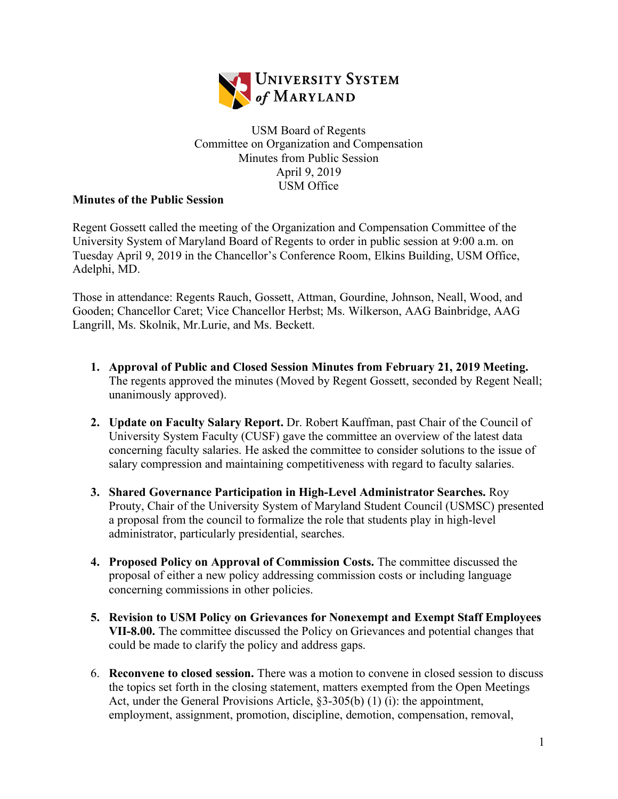

## USM Board of Regents Committee on Organization and Compensation Minutes from Public Session April 9, 2019 USM Office

## **Minutes of the Public Session**

Regent Gossett called the meeting of the Organization and Compensation Committee of the University System of Maryland Board of Regents to order in public session at 9:00 a.m. on Tuesday April 9, 2019 in the Chancellor's Conference Room, Elkins Building, USM Office, Adelphi, MD.

Those in attendance: Regents Rauch, Gossett, Attman, Gourdine, Johnson, Neall, Wood, and Gooden; Chancellor Caret; Vice Chancellor Herbst; Ms. Wilkerson, AAG Bainbridge, AAG Langrill, Ms. Skolnik, Mr.Lurie, and Ms. Beckett.

- **1. Approval of Public and Closed Session Minutes from February 21, 2019 Meeting.**  The regents approved the minutes (Moved by Regent Gossett, seconded by Regent Neall; unanimously approved).
- **2. Update on Faculty Salary Report.** Dr. Robert Kauffman, past Chair of the Council of University System Faculty (CUSF) gave the committee an overview of the latest data concerning faculty salaries. He asked the committee to consider solutions to the issue of salary compression and maintaining competitiveness with regard to faculty salaries.
- **3. Shared Governance Participation in High-Level Administrator Searches.** Roy Prouty, Chair of the University System of Maryland Student Council (USMSC) presented a proposal from the council to formalize the role that students play in high-level administrator, particularly presidential, searches.
- **4. Proposed Policy on Approval of Commission Costs.** The committee discussed the proposal of either a new policy addressing commission costs or including language concerning commissions in other policies.
- **5. Revision to USM Policy on Grievances for Nonexempt and Exempt Staff Employees VII-8.00.** The committee discussed the Policy on Grievances and potential changes that could be made to clarify the policy and address gaps.
- 6. **Reconvene to closed session.** There was a motion to convene in closed session to discuss the topics set forth in the closing statement, matters exempted from the Open Meetings Act, under the General Provisions Article, §3-305(b) (1) (i): the appointment, employment, assignment, promotion, discipline, demotion, compensation, removal,